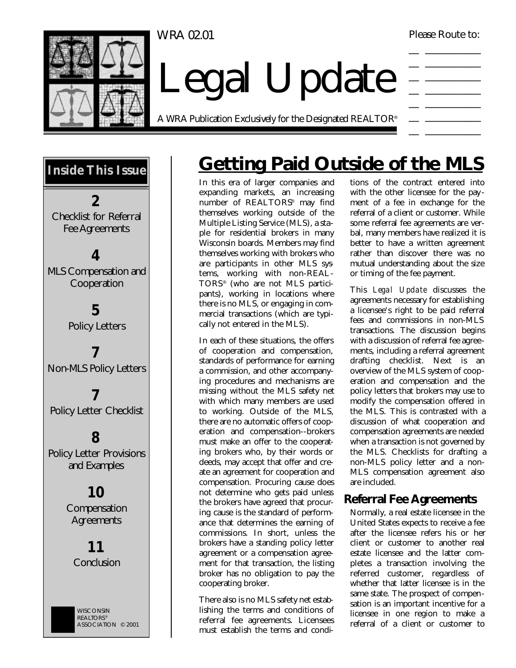WRA 02.01

Please Route to:



Legal Update

A WRA Publication Exclusively for the Designated REALTOR®

|                          | and the control of the control of                                                                                                                                                                                                    |
|--------------------------|--------------------------------------------------------------------------------------------------------------------------------------------------------------------------------------------------------------------------------------|
|                          |                                                                                                                                                                                                                                      |
| $\overline{\phantom{a}}$ | <u> Linda a Carl Company a Carl Company a Carl Company a Carl Company and Carl Company and Carl Company and Carl Company and Carl Company and Carl Company and Carl Company and Carl Company and Carl Company and Carl Company a</u> |
| ___                      |                                                                                                                                                                                                                                      |
|                          |                                                                                                                                                                                                                                      |
| ___                      |                                                                                                                                                                                                                                      |
|                          | <u> Listen et al. In the control of the control of the control of the control of the control of the control of the control of the control of the control of the control of the control of the control of the control of the cont</u> |
|                          |                                                                                                                                                                                                                                      |
|                          | the control of the control of                                                                                                                                                                                                        |
|                          | _______                                                                                                                                                                                                                              |



# **Getting Paid Outside of the MLS**

In this era of larger companies and expanding markets, an increasing number of REALTORS® may find themselves working outside of the Multiple Listing Service (MLS), a staple for residential brokers in many Wisconsin boards. Members may find themselves working with brokers who are participants in other MLS systems, working with non-REAL-TORS® (who are not MLS participants), working in locations where there is no MLS, or engaging in commercial transactions (which are typically not entered in the MLS).

In each of these situations, the offers of cooperation and compensation, standards of performance for earning a commission, and other accompanying procedures and mechanisms are missing without the MLS safety net with which many members are used to working. Outside of the MLS, there are no automatic offers of cooperation and compensation--brokers must make an offer to the cooperating brokers who, by their words or deeds, may accept that offer and create an agreement for cooperation and compensation. Procuring cause does not determine who gets paid unless the brokers have agreed that procuring cause is the standard of performance that determines the earning of commissions. In short, unless the brokers have a standing policy letter agreement or a compensation agreement for that transaction, the listing broker has no obligation to pay the cooperating broker.

There also is no MLS safety net establishing the terms and conditions of referral fee agreements. Licensees must establish the terms and condi-

tions of the contract entered into with the other licensee for the pay ment of a fee in exchange for the referral of a client or customer. While some referral fee agreements are verbal, many members have realized it is better to have a written agreement rather than discover there was no mutual understanding about the size or timing of the fee payment.

This *Legal Update* discusses the agreements necessary for establishing a licensee's right to be paid referral fees and commissions in non-MLS transactions. The discussion begins with a discussion of referral fee agreements, including a referral agreement drafting checklist. Next is an overview of the MLS system of cooperation and compensation and the policy letters that brokers may use to modify the compensation offered in the MLS. This is contrasted with a discussion of what cooperation and compensation agreements are needed when a transaction is not governed by the MLS. Checklists for drafting a non-MLS policy letter and a non-MLS compensation agreement also are included.

# **Referral Fee Agreements**

Normally, a real estate licensee in the United States expects to receive a fee after the licensee refers his or her client or customer to another real estate licensee and the latter completes a transaction involving the referred customer, regardless of whether that latter licensee is in the same state. The prospect of compensation is an important incentive for a licensee in one region to make a referral of a client or customer to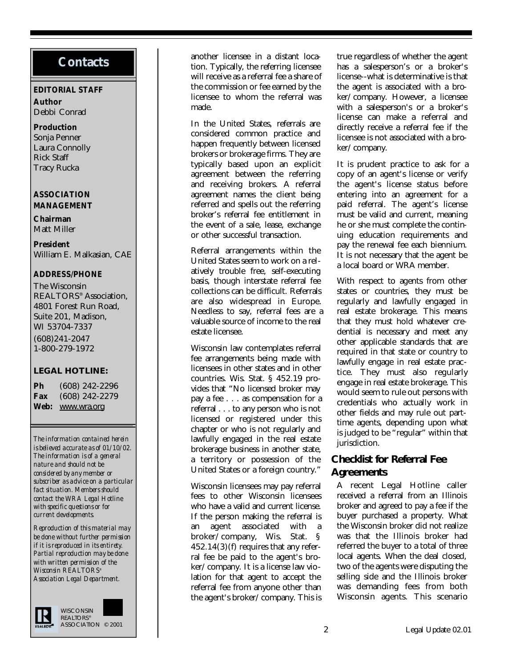# **Contacts**

#### **EDITORIAL STAFF**

**Author** Debbi Conrad

### **Production**

Sonja Penner Laura Connolly Rick Staff Tracy Rucka

#### **ASSOCIATION MANAGEMENT**

**Chairman** Matt Miller

### **President**

William E. Malkasian, CAE

#### **ADDRESS/PHONE**

The Wisconsin REALTORS® Association, 4801 Forest Run Road, Suite 201, Madison, WI 53704-7337 (608)241-2047 1-800-279-1972

### **LEGAL HOTLINE:**

**Ph** (608) 242-2296 **Fax** (608) 242-2279 **Web:** www.wra.org

*The information contained herein is believed accurate as of 01/10/02. The information is of a general nature and should not be considered by any member or subscriber as advice on a particular fact situation. Members should contact the WRA Legal Hotline with specific questions or for current developments.*

*Reproduction of this material may be done without further permission if it is reproduced in its entirety. Partial reproduction may be done with written permission of the Wisconsin REALTORS® Association Legal Department.* 



another licensee in a distant location. Typically, the referring licensee will receive as a referral fee a share of the commission or fee earned by the licensee to whom the referral was made.

In the United States, referrals are considered common practice and happen frequently between licensed brokers or brokerage firms. They are typically based upon an explicit agreement between the referring and receiving brokers. A referral agreement names the client being referred and spells out the referring broker's referral fee entitlement in the event of a sale, lease, exchange or other successful transaction.

Referral arrangements within the United States seem to work on a relatively trouble free, self-executing basis, though interstate referral fee collections can be difficult. Referrals are also widespread in Europe. Needless to say, referral fees are a valuable source of income to the real estate licensee.

Wisconsin law contemplates referral fee arrangements being made with licensees in other states and in other countries. Wis. Stat. § 452.19 provides that "No licensed broker may pay a fee . . . as compensation for a referral . . . to any person who is not licensed or registered under this chapter or who is not regularly and lawfully engaged in the real estate brokerage business in another state, a territory or possession of the United States or a foreign country."

Wisconsin licensees may pay referral fees to other Wisconsin licensees who have a valid and current license. If the person making the referral is an agent associated with a broker/company, Wis. Stat. § 452.14(3)(f) requires that any referral fee be paid to the agent's broker/company. It is a license law violation for that agent to accept the referral fee from anyone other than the agent's broker/company. This is

true regardless of whether the agent has a salesperson's or a broker's license--what is determinative is that the agent is associated with a broker/company. However, a licensee with a salesperson's or a broker's license can make a referral and directly receive a referral fee if the licensee is not associated with a broker/company.

It is prudent practice to ask for a copy of an agent's license or verify the agent's license status before entering into an agreement for a paid referral. The agent's license must be valid and current, meaning he or she must complete the continuing education requirements and pay the renewal fee each biennium. It is not necessary that the agent be a local board or WRA member.

With respect to agents from other states or countries, they must be regularly and lawfully engaged in real estate brokerage. This means that they must hold whatever credential is necessary and meet any other applicable standards that are required in that state or country to lawfully engage in real estate practice. They must also regularly engage in real estate brokerage. This would seem to rule out persons with credentials who actually work in other fields and may rule out parttime agents, depending upon what is judged to be "regular" within that jurisdiction.

# **Checklist for Referral Fee Agreements**

A recent Legal Hotline caller received a referral from an Illinois broker and agreed to pay a fee if the buyer purchased a property. What the Wisconsin broker did not realize was that the Illinois broker had referred the buyer to a total of three local agents. When the deal closed, two of the agents were disputing the selling side and the Illinois broker was demanding fees from both Wisconsin agents. This scenario

2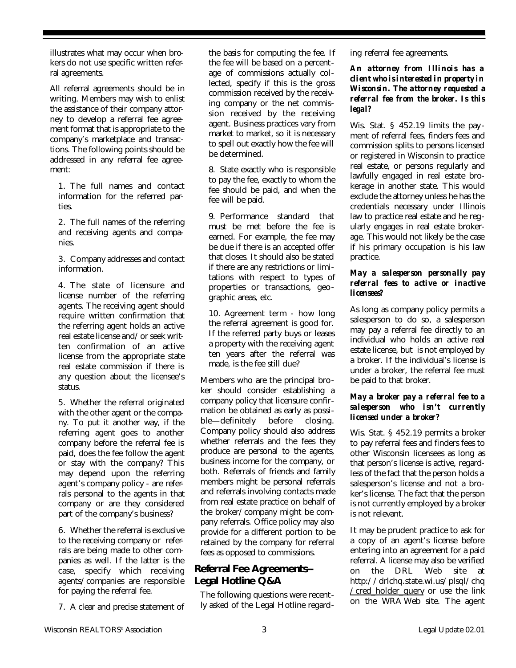illustrates what may occur when brokers do not use specific written referral agreements.

All referral agreements should be in writing. Members may wish to enlist the assistance of their company attorney to develop a referral fee agreement format that is appropriate to the company's marketplace and transactions. The following points should be addressed in any referral fee agreement:

1. The full names and contact information for the referred parties.

2. The full names of the referring and receiving agents and companies.

3. Company addresses and contact information.

4. The state of licensure and license number of the referring agents. The receiving agent should require written confirmation that the referring agent holds an active real estate license and/or seek written confirmation of an active license from the appropriate state real estate commission if there is any question about the licensee's status.

5. Whether the referral originated with the other agent or the company. To put it another way, if the referring agent goes to another company before the referral fee is paid, does the fee follow the agent or stay with the company? This may depend upon the referring agent's company policy - are referrals personal to the agents in that company or are they considered part of the company's business?

6. Whether the referral is exclusive to the receiving company or referrals are being made to other companies as well. If the latter is the case, specify which receiving agents/companies are responsible for paying the referral fee.

7. A clear and precise statement of

the basis for computing the fee. If the fee will be based on a percentage of commissions actually collected, specify if this is the gross commission received by the receiving company or the net commission received by the receiving agent. Business practices vary from market to market, so it is necessary to spell out exactly how the fee will be determined.

8. State exactly who is responsible to pay the fee, exactly to whom the fee should be paid, and when the fee will be paid.

9. Performance standard that must be met before the fee is earned. For example, the fee may be due if there is an accepted offer that closes. It should also be stated if there are any restrictions or limitations with respect to types of properties or transactions, geographic areas, etc.

10. Agreement term - how long the referral agreement is good for. If the referred party buys or leases a property with the receiving agent ten years after the referral was made, is the fee still due?

Members who are the principal broker should consider establishing a company policy that licensure confirmation be obtained as early as possible—definitely before closing. Company policy should also address whether referrals and the fees they produce are personal to the agents, business income for the company, or both. Referrals of friends and family members might be personal referrals and referrals involving contacts made from real estate practice on behalf of the broker/company might be company referrals. Office policy may also provide for a different portion to be retained by the company for referral fees as opposed to commissions.

### **Referral Fee Agreements-- Legal Hotline Q&A**

The following questions were recently asked of the Legal Hotline regarding referral fee agreements.

*An attorney from Illinois has a client who is interested in property in Wisconsin. The attorney requested a referral fee from the broker. Is this legal?*

Wis. Stat. § 452.19 limits the pay ment of referral fees, finders fees and commission splits to persons licensed or registered in Wisconsin to practice real estate, or persons regularly and lawfully engaged in real estate brokerage in another state. This would exclude the attorney unless he has the credentials necessary under Illinois law to practice real estate and he regularly engages in real estate brokerage. This would not likely be the case if his primary occupation is his law practice.

#### *May a salesperson personally pay referral fees to active or inactive licensees?*

As long as company policy permits a salesperson to do so, a salesperson may pay a referral fee directly to an individual who holds an active real estate license, but is not employed by a broker. If the individual's license is under a broker, the referral fee must be paid to that broker.

### *May a broker pay a referral fee to a salesperson who isn't currently licensed under a broker?*

Wis. Stat. § 452.19 permits a broker to pay referral fees and finders fees to other Wisconsin licensees as long as that person's license is active, regardless of the fact that the person holds a salesperson's license and not a broker's license. The fact that the person is not currently employed by a broker is not relevant.

It may be prudent practice to ask for a copy of an agent's license before entering into an agreement for a paid referral. A license may also be verified on the DRL Web site at http://drlchq.state.wi.us/plsql/chq /cred\_holder\_query or use the link on the WRA Web site. The agent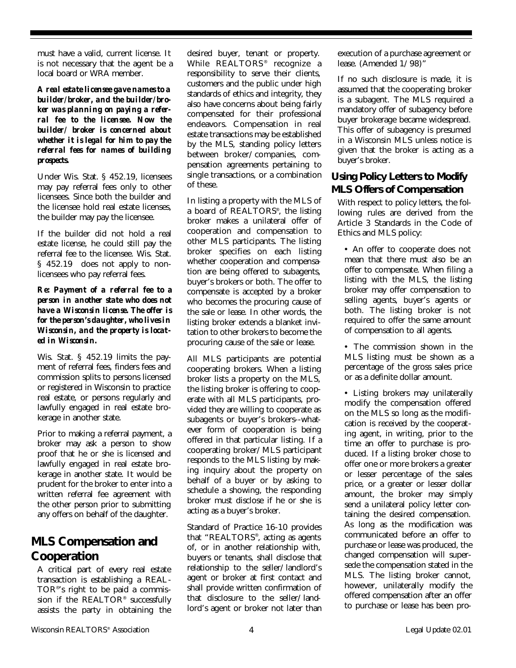must have a valid, current license. It is not necessary that the agent be a local board or WRA member.

*A real estate licensee gave names to a builder/broker, and the builder/broker was planning on paying a referral fee to the licensee. Now the builder/ broker is concerned about whether it is legal for him to pay the referral fees for names of building prospects.*

Under Wis. Stat. § 452.19, licensees may pay referral fees only to other licensees. Since both the builder and the licensee hold real estate licenses, the builder may pay the licensee.

If the builder did not hold a real estate license, he could still pay the referral fee to the licensee. Wis. Stat. § 452.19 does not apply to nonlicensees who pay referral fees.

#### *Re: Payment of a referral fee to a person in another state who does not have a Wisconsin license. The offer is for the person's daughter, who lives in Wisconsin, and the property is located in Wisconsin.*

Wis. Stat. § 452.19 limits the payment of referral fees, finders fees and commission splits to persons licensed or registered in Wisconsin to practice real estate, or persons regularly and lawfully engaged in real estate brokerage in another state.

Prior to making a referral payment, a broker may ask a person to show proof that he or she is licensed and lawfully engaged in real estate brokerage in another state. It would be prudent for the broker to enter into a written referral fee agreement with the other person prior to submitting any offers on behalf of the daughter.

# **MLS Compensation and Cooperation**

A critical part of every real estate transaction is establishing a REAL-TOR® 's right to be paid a commission if the REALTOR® successfully assists the party in obtaining the

desired buyer, tenant or property. While REALTORS® recognize a responsibility to serve their clients, customers and the public under high standards of ethics and integrity, they also have concerns about being fairly compensated for their professional endeavors. Compensation in real estate transactions may be established by the MLS, standing policy letters between broker/companies, compensation agreements pertaining to single transactions, or a combination of these.

In listing a property with the MLS of a board of REALTORS® , the listing broker makes a unilateral offer of cooperation and compensation to other MLS participants. The listing broker specifies on each listing whether cooperation and compensation are being offered to subagents, buyer's brokers or both. The offer to compensate is accepted by a broker who becomes the procuring cause of the sale or lease. In other words, the listing broker extends a blanket invitation to other brokers to become the procuring cause of the sale or lease.

All MLS participants are potential cooperating brokers. When a listing broker lists a property on the MLS, the listing broker is offering to cooperate with all MLS participants, provided they are willing to cooperate as subagents or buyer's brokers--whatever form of cooperation is being offered in that particular listing. If a cooperating broker/MLS participant responds to the MLS listing by making inquiry about the property on behalf of a buyer or by asking to schedule a showing, the responding broker must disclose if he or she is acting as a buyer's broker.

Standard of Practice 16-10 provides that "REALTORS® , acting as agents of, or in another relationship with, buyers or tenants, shall disclose that relationship to the seller/landlord's agent or broker at first contact and shall provide written confirmation of that disclosure to the seller/landlord's agent or broker not later than execution of a purchase agreement or lease. (Amended 1/98)"

If no such disclosure is made, it is assumed that the cooperating broker is a subagent. The MLS required a mandatory offer of subagency before buyer brokerage became widespread. This offer of subagency is presumed in a Wisconsin MLS unless notice is given that the broker is acting as a buyer's broker.

# **Using Policy Letters to Modify MLS Offers of Compensation**

With respect to policy letters, the following rules are derived from the Article 3 Standards in the Code of Ethics and MLS policy:

• An offer to cooperate does not mean that there must also be an offer to compensate. When filing a listing with the MLS, the listing broker may offer compensation to selling agents, buyer's agents or both. The listing broker is not required to offer the same amount of compensation to all agents.

• The commission shown in the MLS listing must be shown as a percentage of the gross sales price or as a definite dollar amount.

• Listing brokers may unilaterally modify the compensation offered on the MLS so long as the modification is received by the cooperating agent, in writing, prior to the time an offer to purchase is produced. If a listing broker chose to offer one or more brokers a greater or lesser percentage of the sales price, or a greater or lesser dollar amount, the broker may simply send a unilateral policy letter containing the desired compensation. As long as the modification was communicated before an offer to purchase or lease was produced, the changed compensation will supersede the compensation stated in the MLS. The listing broker cannot, however, unilaterally modify the offered compensation after an offer to purchase or lease has been pro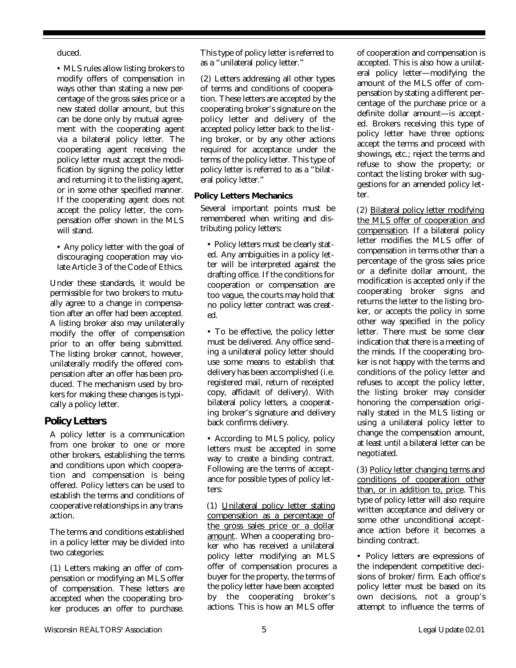duced.

• MLS rules allow listing brokers to modify offers of compensation in ways other than stating a new percentage of the gross sales price or a new stated dollar amount, but this can be done only by mutual agreement with the cooperating agent via a bilateral policy letter. The cooperating agent receiving the policy letter must accept the modification by signing the policy letter and returning it to the listing agent, or in some other specified manner. If the cooperating agent does not accept the policy letter, the compensation offer shown in the MLS will stand.

• Any policy letter with the goal of discouraging cooperation may violate Article 3 of the Code of Ethics.

Under these standards, it would be permissible for two brokers to mutually agree to a change in compensation after an offer had been accepted. A listing broker also may unilaterally modify the offer of compensation prior to an offer being submitted. The listing broker cannot, however, unilaterally modify the offered compensation after an offer has been produced. The mechanism used by brokers for making these changes is typically a policy letter.

### **Policy Letters**

A policy letter is a communication from one broker to one or more other brokers, establishing the terms and conditions upon which cooperation and compensation is being offered. Policy letters can be used to establish the terms and conditions of cooperative relationships in any transaction.

The terms and conditions established in a policy letter may be divided into two categories:

(1) Letters making an offer of compensation or modifying an MLS offer of compensation. These letters are accepted when the cooperating broker produces an offer to purchase. This type of policy letter is referred to as a "unilateral policy letter."

(2) Letters addressing all other types of terms and conditions of cooperation. These letters are accepted by the cooperating broker's signature on the policy letter and delivery of the accepted policy letter back to the listing broker, or by any other actions required for acceptance under the terms of the policy letter. This type of policy letter is referred to as a "bilateral policy letter."

#### **Policy Letters Mechanics**

Several important points must be remembered when writing and distributing policy letters:

• Policy letters must be clearly stated. Any ambiguities in a policy letter will be interpreted against the drafting office. If the conditions for cooperation or compensation are too vague, the courts may hold that no policy letter contract was created.

• To be effective, the policy letter must be delivered. Any office sending a unilateral policy letter should use some means to establish that delivery has been accomplished (i.e. registered mail, return of receipted copy, affidavit of delivery). With bilateral policy letters, a cooperating broker's signature and delivery back confirms delivery.

• According to MLS policy, policy letters must be accepted in some way to create a binding contract. Following are the terms of acceptance for possible types of policy letters:

(1) Unilateral policy letter stating compensation as a percentage of the gross sales price or a dollar amount. When a cooperating broker who has received a unilateral policy letter modifying an MLS offer of compensation procures a buyer for the property, the terms of the policy letter have been accepted by the cooperating broker's actions. This is how an MLS offer

of cooperation and compensation is accepted. This is also how a unilateral policy letter—modifying the amount of the MLS offer of compensation by stating a different percentage of the purchase price or a definite dollar amount—is accepted. Brokers receiving this type of policy letter have three options: accept the terms and proceed with showings, etc.; reject the terms and refuse to show the property; or contact the listing broker with suggestions for an amended policy letter.

(2) Bilateral policy letter modifying the MLS offer of cooperation and compensation. If a bilateral policy letter modifies the MLS offer of compensation in terms other than a percentage of the gross sales price or a definite dollar amount, the modification is accepted only if the cooperating broker signs and returns the letter to the listing broker, or accepts the policy in some other way specified in the policy letter. There must be some clear indication that there is a meeting of the minds. If the cooperating broker is not happy with the terms and conditions of the policy letter and refuses to accept the policy letter, the listing broker may consider honoring the compensation originally stated in the MLS listing or using a unilateral policy letter to change the compensation amount, at least until a bilateral letter can be negotiated.

(3) Policy letter changing terms and conditions of cooperation other than, or in addition to, price. This type of policy letter will also require written acceptance and delivery or some other unconditional acceptance action before it becomes a binding contract.

• Policy letters are expressions of the independent competitive decisions of broker/firm. Each office's policy letter must be based on its own decisions, not a group's attempt to influence the terms of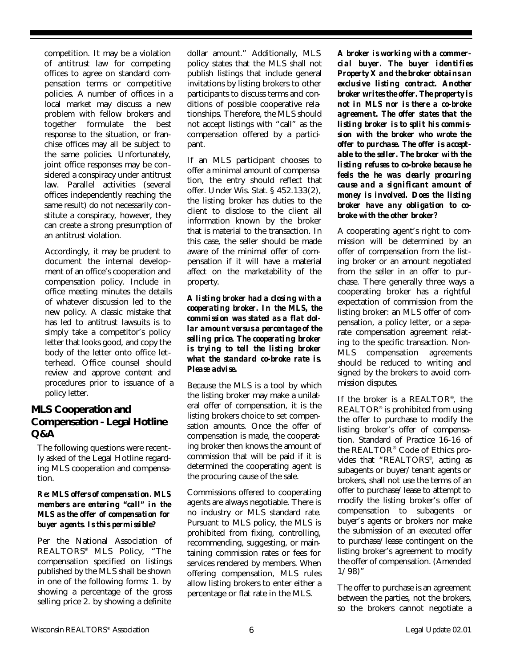competition. It may be a violation of antitrust law for competing offices to agree on standard compensation terms or competitive policies. A number of offices in a local market may discuss a new problem with fellow brokers and together formulate the best response to the situation, or franchise offices may all be subject to the same policies. Unfortunately, joint office responses may be considered a conspiracy under antitrust law. Parallel activities (several offices independently reaching the same result) do not necessarily constitute a conspiracy, however, they can create a strong presumption of an antitrust violation.

Accordingly, it may be prudent to document the internal development of an office's cooperation and compensation policy. Include in office meeting minutes the details of whatever discussion led to the new policy. A classic mistake that has led to antitrust lawsuits is to simply take a competitor's policy letter that looks good, and copy the body of the letter onto office letterhead. Office counsel should review and approve content and procedures prior to issuance of a policy letter.

# **MLS Cooperation and Compensation - Legal Hotline Q&A**

The following questions were recently asked of the Legal Hotline regarding MLS cooperation and compensation.

#### *Re: MLS offers of compensation. MLS members are entering "call" in the MLS as the offer of compensation for buyer agents. Is this permissible?*

Per the National Association of REALTORS® MLS Policy, "The compensation specified on listings published by the MLS shall be shown in one of the following forms: 1. by showing a percentage of the gross selling price 2. by showing a definite

dollar amount." Additionally, MLS policy states that the MLS shall not publish listings that include general invitations by listing brokers to other participants to discuss terms and conditions of possible cooperative relationships. Therefore, the MLS should not accept listings with "call" as the compensation offered by a participant.

If an MLS participant chooses to offer a minimal amount of compensation, the entry should reflect that offer. Under Wis. Stat. § 452.133(2), the listing broker has duties to the client to disclose to the client all information known by the broker that is material to the transaction. In this case, the seller should be made aware of the minimal offer of compensation if it will have a material affect on the marketability of the property.

#### *A listing broker had a closing with a cooperating broker. In the MLS, the commission was stated as a flat dollar amount versus a percentage of the selling price. The cooperating broker is trying to tell the listing broker what the standard co-broke rate is. Please advise.*

Because the MLS is a tool by which the listing broker may make a unilateral offer of compensation, it is the listing brokers choice to set compensation amounts. Once the offer of compensation is made, the cooperating broker then knows the amount of commission that will be paid if it is determined the cooperating agent is the procuring cause of the sale.

Commissions offered to cooperating agents are always negotiable. There is no industry or MLS standard rate. Pursuant to MLS policy, the MLS is prohibited from fixing, controlling, recommending, suggesting, or maintaining commission rates or fees for services rendered by members. When offering compensation, MLS rules allow listing brokers to enter either a percentage or flat rate in the MLS.

*A broker is working with a commercial buyer. The buyer identifies Property X and the broker obtains an exclusive listing contract. Another broker writes the offer. The property is not in MLS nor is there a co-broke agreement. The offer states that the listing broker is to split his commission with the broker who wrote the offer to purchase. The offer is acceptable to the seller. The broker with the listing refuses to co-broke because he feels the he was clearly procuring cause and a significant amount of money is involved. Does the listing broker have any obligation to cobroke with the other broker?*

A cooperating agent's right to commission will be determined by an offer of compensation from the listing broker or an amount negotiated from the seller in an offer to purchase. There generally three ways a cooperating broker has a rightful expectation of commission from the listing broker: an MLS offer of compensation, a policy letter, or a separate compensation agreement relating to the specific transaction. Non-MLS compensation agreements should be reduced to writing and signed by the brokers to avoid commission disputes.

If the broker is a REALTOR® , the REALTOR® is prohibited from using the offer to purchase to modify the listing broker's offer of compensation. Standard of Practice 16-16 of the REALTOR® Code of Ethics provides that "REALTORS® , acting as subagents or buyer/tenant agents or brokers, shall not use the terms of an offer to purchase/lease to attempt to modify the listing broker's offer of compensation to subagents or buyer's agents or brokers nor make the submission of an executed offer to purchase/lease contingent on the listing broker's agreement to modify the offer of compensation. (Amended 1/98)"

The offer to purchase is an agreement between the parties, not the brokers, so the brokers cannot negotiate a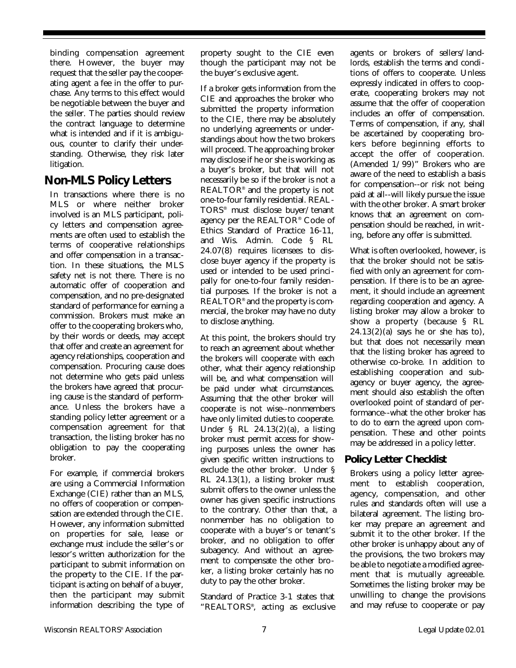binding compensation agreement there. However, the buyer may request that the seller pay the cooperating agent a fee in the offer to purchase. Any terms to this effect would be negotiable between the buyer and the seller. The parties should review the contract language to determine what is intended and if it is ambiguous, counter to clarify their understanding. Otherwise, they risk later litigation.

# **Non-MLS Policy Letters**

In transactions where there is no MLS or where neither broker involved is an MLS participant, policy letters and compensation agreements are often used to establish the terms of cooperative relationships and offer compensation in a transaction. In these situations, the MLS safety net is not there. There is no automatic offer of cooperation and compensation, and no pre-designated standard of performance for earning a commission. Brokers must make an offer to the cooperating brokers who, by their words or deeds, may accept that offer and create an agreement for agency relationships, cooperation and compensation. Procuring cause does not determine who gets paid unless the brokers have agreed that procuring cause is the standard of performance. Unless the brokers have a standing policy letter agreement or a compensation agreement for that transaction, the listing broker has no obligation to pay the cooperating broker.

For example, if commercial brokers are using a Commercial Information Exchange (CIE) rather than an MLS, no offers of cooperation or compensation are extended through the CIE. However, any information submitted on properties for sale, lease or exchange must include the seller's or lessor's written authorization for the participant to submit information on the property to the CIE. If the participant is acting on behalf of a buyer, then the participant may submit information describing the type of

property sought to the CIE even though the participant may not be the buyer's exclusive agent.

If a broker gets information from the CIE and approaches the broker who submitted the property information to the CIE, there may be absolutely no underlying agreements or understandings about how the two brokers will proceed. The approaching broker may disclose if he or she is working as a buyer's broker, but that will not necessarily be so if the broker is not a REALTOR® and the property is not one-to-four family residential. REAL-TORS® must disclose buyer/tenant agency per the REALTOR® Code of Ethics Standard of Practice 16-11, and Wis. Admin. Code § RL 24.07(8) requires licensees to disclose buyer agency if the property is used or intended to be used principally for one-to-four family residential purposes. If the broker is not a REALTOR® and the property is commercial, the broker may have no duty to disclose anything.

At this point, the brokers should try to reach an agreement about whether the brokers will cooperate with each other, what their agency relationship will be, and what compensation will be paid under what circumstances. Assuming that the other broker will cooperate is not wise--nonmembers have only limited duties to cooperate. Under § RL 24.13(2)(a), a listing broker must permit access for showing purposes unless the owner has given specific written instructions to exclude the other broker. Under § RL 24.13(1), a listing broker must submit offers to the owner unless the owner has given specific instructions to the contrary. Other than that, a nonmember has no obligation to cooperate with a buyer's or tenant's broker, and no obligation to offer subagency. And without an agreement to compensate the other broker, a listing broker certainly has no duty to pay the other broker.

Standard of Practice 3-1 states that "REALTORS® , acting as exclusive

agents or brokers of sellers/landlords, establish the terms and conditions of offers to cooperate. Unless expressly indicated in offers to cooperate, cooperating brokers may not assume that the offer of cooperation includes an offer of compensation. Terms of compensation, if any, shall be ascertained by cooperating brokers before beginning efforts to accept the offer of cooperation. (Amended 1/99)" Brokers who are aware of the need to establish a basis for compensation--or risk not being paid at all--will likely pursue the issue with the other broker. A smart broker knows that an agreement on compensation should be reached, in writing, before any offer is submitted.

What is often overlooked, however, is that the broker should not be satisfied with only an agreement for compensation. If there is to be an agreement, it should include an agreement regarding cooperation and agency. A listing broker may allow a broker to show a property (because § RL  $24.13(2)(a)$  says he or she has to), but that does not necessarily mean that the listing broker has agreed to otherwise co-broke. In addition to establishing cooperation and subagency or buyer agency, the agreement should also establish the often overlooked point of standard of performance--what the other broker has to do to earn the agreed upon compensation. These and other points may be addressed in a policy letter.

# **Policy Letter Checklist**

Brokers using a policy letter agreement to establish cooperation, agency, compensation, and other rules and standards often will use a bilateral agreement. The listing broker may prepare an agreement and submit it to the other broker. If the other broker is unhappy about any of the provisions, the two brokers may be able to negotiate a modified agreement that is mutually agreeable. Sometimes the listing broker may be unwilling to change the provisions and may refuse to cooperate or pay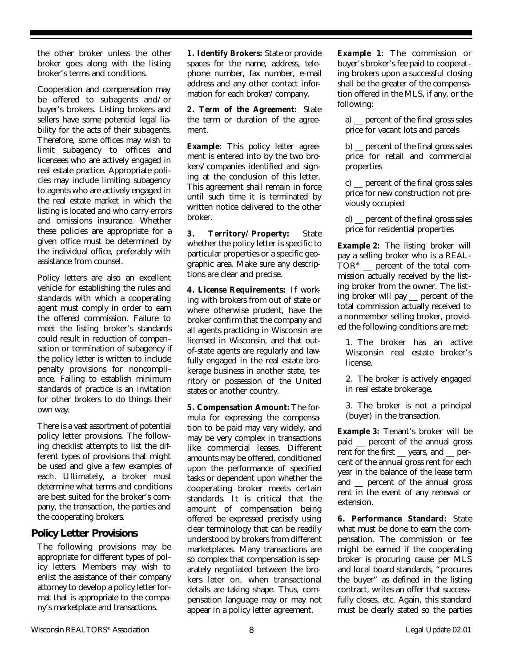the other broker unless the other broker goes along with the listing broker's terms and conditions.

Cooperation and compensation may be offered to subagents and/or buyer's brokers. Listing brokers and sellers have some potential legal liability for the acts of their subagents. Therefore, some offices may wish to limit subagency to offices and licensees who are actively engaged in real estate practice. Appropriate policies may include limiting subagency to agents who are actively engaged in the real estate market in which the listing is located and who carry errors and omissions insurance. Whether these policies are appropriate for a given office must be determined by the individual office, preferably with assistance from counsel.

Policy letters are also an excellent vehicle for establishing the rules and standards with which a cooperating agent must comply in order to earn the offered commission. Failure to meet the listing broker's standards could result in reduction of compensation or termination of subagency if the policy letter is written to include penalty provisions for noncompliance. Failing to establish minimum standards of practice is an invitation for other brokers to do things their own way.

There is a vast assortment of potential policy letter provisions. The following checklist attempts to list the different types of provisions that might be used and give a few examples of each. Ultimately, a broker must determine what terms and conditions are best suited for the broker's company, the transaction, the parties and the cooperating brokers.

### **Policy Letter Provisions**

The following provisions may be appropriate for different types of policy letters. Members may wish to enlist the assistance of their company attorney to develop a policy letter format that is appropriate to the company's marketplace and transactions.

**1. Identify Brokers:** State or provide spaces for the name, address, telephone number, fax number, e-mail address and any other contact information for each broker/company.

**2. Term of the Agreement:** State the term or duration of the agreement.

**Example:** This policy letter agreement is entered into by the two brokers/companies identified and signing at the conclusion of this letter. This agreement shall remain in force until such time it is terminated by written notice delivered to the other broker.

**3. Territory/Property:** State whether the policy letter is specific to particular properties or a specific geographic area. Make sure any descriptions are clear and precise.

**4. License Requirements:** If working with brokers from out of state or where otherwise prudent, have the broker confirm that the company and all agents practicing in Wisconsin are licensed in Wisconsin, and that outof-state agents are regularly and lawfully engaged in the real estate brokerage business in another state, territory or possession of the United states or another country.

**5. Compensation Amount:** The formula for expressing the compensation to be paid may vary widely, and may be very complex in transactions like commercial leases. Different amounts may be offered, conditioned upon the performance of specified tasks or dependent upon whether the cooperating broker meets certain standards. It is critical that the amount of compensation being offered be expressed precisely using clear terminology that can be readily understood by brokers from different marketplaces. Many transactions are so complex that compensation is separately negotiated between the brokers later on, when transactional details are taking shape. Thus, compensation language may or may not appear in a policy letter agreement.

*Example 1*: The commission or buyer's broker's fee paid to cooperating brokers upon a successful closing shall be the greater of the compensation offered in the MLS, if any, or the following:

a) \_\_ percent of the final gross sales price for vacant lots and parcels

b) \_\_ percent of the final gross sales price for retail and commercial properties

c) \_\_ percent of the final gross sales price for new construction not previously occupied

d) \_\_ percent of the final gross sales price for residential properties

**Example 2:** The listing broker will pay a selling broker who is a REAL- $\text{TOR}^{\circ}$   $\;\_$  percent of the total commission actually received by the listing broker from the owner. The listing broker will pay \_\_ percent of the total commission actually received to a nonmember selling broker, provided the following conditions are met:

1. The broker has an active Wisconsin real estate broker's license.

2. The broker is actively engaged in real estate brokerage.

3. The broker is not a principal (buyer) in the transaction.

**Example 3:** Tenant's broker will be paid \_\_ percent of the annual gross rent for the first \_\_ years, and \_\_ percent of the annual gross rent for each year in the balance of the lease term and \_\_ percent of the annual gross rent in the event of any renewal or extension.

**6. Performance Standard:** State what must be done to earn the compensation. The commission or fee might be earned if the cooperating broker is procuring cause per MLS and local board standards, "procures the buyer" as defined in the listing contract, writes an offer that successfully closes, etc. Again, this standard must be clearly stated so the parties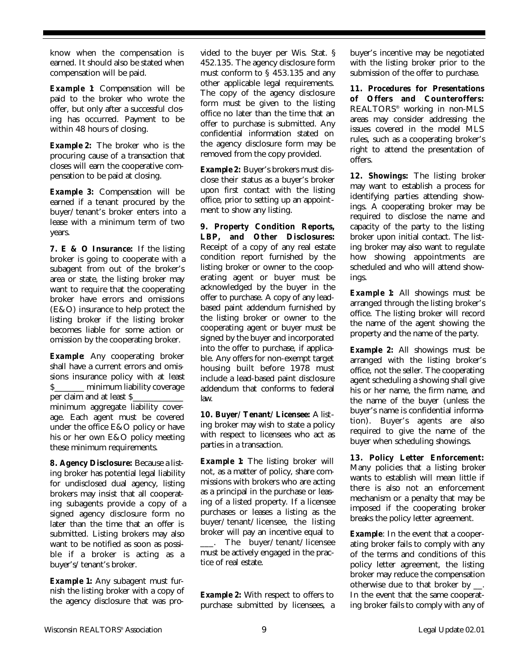know when the compensation is earned. It should also be stated when compensation will be paid.

**Example 1** Compensation will be paid to the broker who wrote the offer, but only after a successful closing has occurred. Payment to be within 48 hours of closing.

**Example 2:** The broker who is the procuring cause of a transaction that closes will earn the cooperative compensation to be paid at closing.

*Example 3:* Compensation will be earned if a tenant procured by the buyer/tenant's broker enters into a lease with a minimum term of two years.

**7. E & O Insurance:** If the listing broker is going to cooperate with a subagent from out of the broker's area or state, the listing broker may want to require that the cooperating broker have errors and omissions (E&O) insurance to help protect the listing broker if the listing broker becomes liable for some action or omission by the cooperating broker.

**Example**: Any cooperating broker shall have a current errors and omissions insurance policy with at least \$\_\_\_\_\_\_\_ minimum liability coverage per claim and at least S minimum aggregate liability coverage. Each agent must be covered under the office E&O policy or have his or her own E&O policy meeting these minimum requirements.

**8. Agency Disclosure:** Because a listing broker has potential legal liability for undisclosed dual agency, listing brokers may insist that all cooperating subagents provide a copy of a signed agency disclosure form no later than the time that an offer is submitted. Listing brokers may also want to be notified as soon as possible if a broker is acting as a buyer's/tenant's broker.

*Example 1***:** Any subagent must furnish the listing broker with a copy of the agency disclosure that was pro-

vided to the buyer per Wis. Stat. § 452.135. The agency disclosure form must conform to § 453.135 and any other applicable legal requirements. The copy of the agency disclosure form must be given to the listing office no later than the time that an offer to purchase is submitted. Any confidential information stated on the agency disclosure form may be removed from the copy provided.

**Example 2:** Buyer's brokers must disclose their status as a buyer's broker upon first contact with the listing office, prior to setting up an appointment to show any listing.

**9. Property Condition Reports, LBP, and Other Disclosures:** Receipt of a copy of any real estate condition report furnished by the listing broker or owner to the cooperating agent or buyer must be acknowledged by the buyer in the offer to purchase. A copy of any leadbased paint addendum furnished by the listing broker or owner to the cooperating agent or buyer must be signed by the buyer and incorporated into the offer to purchase, if applicable. Any offers for non-exempt target housing built before 1978 must include a lead-based paint disclosure addendum that conforms to federal law.

**10. Buyer/Tenant/Licensee:** A listing broker may wish to state a policy with respect to licensees who act as parties in a transaction.

**Example 1** The listing broker will not, as a matter of policy, share commissions with brokers who are acting as a principal in the purchase or leasing of a listed property. If a licensee purchases or leases a listing as the buyer/tenant/licensee, the listing broker will pay an incentive equal to \_\_\_. The buyer/tenant/licensee must be actively engaged in the practice of real estate.

**Example 2:** With respect to offers to purchase submitted by licensees, a

buyer's incentive may be negotiated with the listing broker prior to the submission of the offer to purchase.

**11. Procedures for Presentations of Offers and Counteroffers:** REALTORS® working in non-MLS areas may consider addressing the issues covered in the model MLS rules, such as a cooperating broker's right to attend the presentation of offers.

**12. Showings:** The listing broker may want to establish a process for identifying parties attending showings. A cooperating broker may be required to disclose the name and capacity of the party to the listing broker upon initial contact. The listing broker may also want to regulate how showing appointments are scheduled and who will attend showings.

**Example 1**: All showings must be arranged through the listing broker's office. The listing broker will record the name of the agent showing the property and the name of the party.

*Example 2:* All showings must be arranged with the listing broker's office, not the seller. The cooperating agent scheduling a showing shall give his or her name, the firm name, and the name of the buyer (unless the buyer's name is confidential information). Buyer's agents are also required to give the name of the buyer when scheduling showings.

**13. Policy Letter Enforcement:** Many policies that a listing broker wants to establish will mean little if there is also not an enforcement mechanism or a penalty that may be imposed if the cooperating broker breaks the policy letter agreement.

**Example:** In the event that a cooperating broker fails to comply with any of the terms and conditions of this policy letter agreement, the listing broker may reduce the compensation otherwise due to that broker by \_\_. In the event that the same cooperating broker fails to comply with any of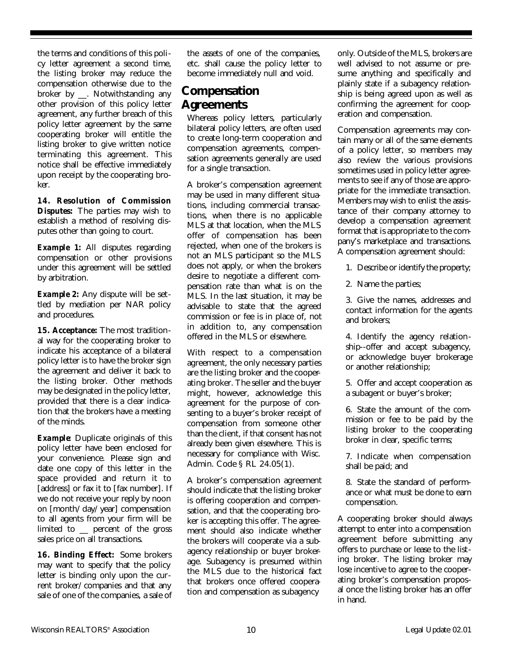the terms and conditions of this policy letter agreement a second time, the listing broker may reduce the compensation otherwise due to the broker by \_\_. Notwithstanding any other provision of this policy letter agreement, any further breach of this policy letter agreement by the same cooperating broker will entitle the listing broker to give written notice terminating this agreement. This notice shall be effective immediately upon receipt by the cooperating broker.

**14. Resolution of Commission Disputes:** The parties may wish to establish a method of resolving disputes other than going to court.

**Example 1:** All disputes regarding compensation or other provisions under this agreement will be settled by arbitration.

**Example 2:** Any dispute will be settled by mediation per NAR policy and procedures.

**15. Acceptance:** The most traditional way for the cooperating broker to indicate his acceptance of a bilateral policy letter is to have the broker sign the agreement and deliver it back to the listing broker. Other methods may be designated in the policy letter, provided that there is a clear indication that the brokers have a meeting of the minds.

**Example**: Duplicate originals of this policy letter have been enclosed for your convenience. Please sign and date one copy of this letter in the space provided and return it to [address] or fax it to [fax number]. If we do not receive your reply by noon on [month/day/year] compensation to all agents from your firm will be limited to \_\_ percent of the gross sales price on all transactions.

**16. Binding Effect:** Some brokers may want to specify that the policy letter is binding only upon the current broker/companies and that any sale of one of the companies, a sale of the assets of one of the companies, etc. shall cause the policy letter to become immediately null and void.

# **Compensation Agreements**

Whereas policy letters, particularly bilateral policy letters, are often used to create long-term cooperation and compensation agreements, compensation agreements generally are used for a single transaction.

A broker's compensation agreement may be used in many different situations, including commercial transactions, when there is no applicable MLS at that location, when the MLS offer of compensation has been rejected, when one of the brokers is not an MLS participant so the MLS does not apply, or when the brokers desire to negotiate a different compensation rate than what is on the MLS. In the last situation, it may be advisable to state that the agreed commission or fee is in place of, not in addition to, any compensation offered in the MLS or elsewhere.

With respect to a compensation agreement, the only necessary parties are the listing broker and the cooperating broker. The seller and the buyer might, however, acknowledge this agreement for the purpose of consenting to a buyer's broker receipt of compensation from someone other than the client, if that consent has not already been given elsewhere. This is necessary for compliance with Wisc. Admin. Code § RL 24.05(1).

A broker's compensation agreement should indicate that the listing broker is offering cooperation and compensation, and that the cooperating broker is accepting this offer. The agreement should also indicate whether the brokers will cooperate via a subagency relationship or buyer brokerage. Subagency is presumed within the MLS due to the historical fact that brokers once offered cooperation and compensation as subagency

only. Outside of the MLS, brokers are well advised to not assume or presume anything and specifically and plainly state if a subagency relationship is being agreed upon as well as confirming the agreement for cooperation and compensation.

Compensation agreements may contain many or all of the same elements of a policy letter, so members may also review the various provisions sometimes used in policy letter agreements to see if any of those are appropriate for the immediate transaction. Members may wish to enlist the assistance of their company attorney to develop a compensation agreement format that is appropriate to the company's marketplace and transactions. A compensation agreement should:

1. Describe or identify the property;

2. Name the parties;

3. Give the names, addresses and contact information for the agents and brokers;

4. Identify the agency relationship--offer and accept subagency, or acknowledge buyer brokerage or another relationship;

5. Offer and accept cooperation as a subagent or buyer's broker;

6. State the amount of the commission or fee to be paid by the listing broker to the cooperating broker in clear, specific terms;

7. Indicate when compensation shall be paid; and

8. State the standard of performance or what must be done to earn compensation.

A cooperating broker should always attempt to enter into a compensation agreement before submitting any offers to purchase or lease to the listing broker. The listing broker may lose incentive to agree to the cooperating broker's compensation proposal once the listing broker has an offer in hand.